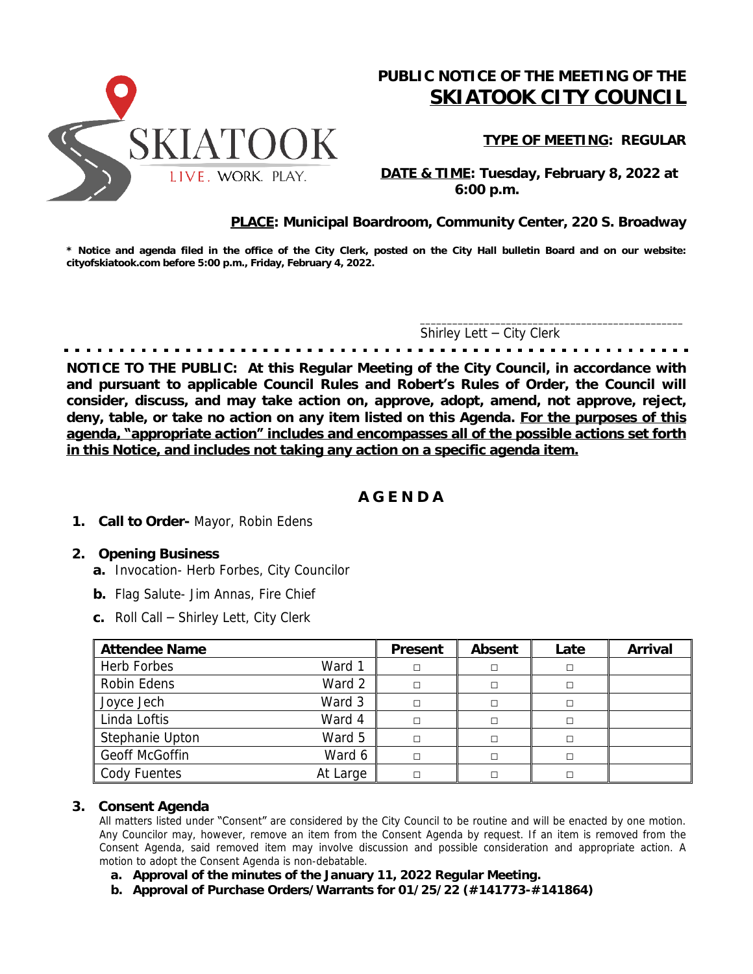

# **PUBLIC NOTICE OF THE MEETING OF THE** *SKIATOOK CITY COUNCIL*

**TYPE OF MEETING: REGULAR**

 **DATE & TIME: Tuesday, February 8, 2022 at 6:00 p.m.**

## **PLACE: Municipal Boardroom, Community Center, 220 S. Broadway**

\* Notice and agenda filed in the office of the City Clerk, posted on the City Hall bulletin Board and on our website: **cityofskiatook.com before 5:00 p.m., Friday, February 4, 2022.**

Shirley Lett – City Clerk

\_\_\_\_\_\_\_\_\_\_\_\_\_\_\_\_\_\_\_\_\_\_\_\_\_\_\_\_\_\_\_\_\_\_\_\_\_\_\_\_\_\_\_\_\_\_\_\_\_

**NOTICE TO THE PUBLIC: At this Regular Meeting of the City Council, in accordance with and pursuant to applicable Council Rules and Robert's Rules of Order, the Council will consider, discuss, and may take action on, approve, adopt, amend, not approve, reject, deny, table, or take no action on any item listed on this Agenda. For the purposes of this agenda, "appropriate action" includes and encompasses all of the possible actions set forth in this Notice, and includes not taking any action on a specific agenda item.**

## **A G E N D A**

**1. Call to Order-** *Mayor, Robin Edens*

#### **2. Opening Business**

- *a.* Invocation- Herb Forbes, City Councilor
- **b.** Flag Salute- Jim Annas, Fire Chief
- *c.* Roll Call Shirley Lett, City Clerk

| <b>Attendee Name</b> |          | Present | Absent | Late   | Arrival |
|----------------------|----------|---------|--------|--------|---------|
| Herb Forbes          | Ward 1   | П       | □      | П      |         |
| Robin Edens          | Ward 2   | П       | □      | $\Box$ |         |
| Joyce Jech           | Ward 3   | П       | □      | П      |         |
| Linda Loftis         | Ward 4   | П       | □      | П      |         |
| Stephanie Upton      | Ward 5   | П       | П      | $\Box$ |         |
| Geoff McGoffin       | Ward 6   | П       | П      | $\Box$ |         |
| Cody Fuentes         | At Large |         | П      |        |         |

## **3. Consent Agenda**

All matters listed under "Consent" are considered by the City Council to be routine and will be enacted by one motion. Any Councilor may, however, remove an item from the Consent Agenda by request. If an item is removed from the Consent Agenda, said removed item may involve discussion and possible consideration and appropriate action. A motion to adopt the Consent Agenda is non-debatable.

- **a. Approval of the minutes of the January 11, 2022 Regular Meeting.**
- **b. Approval of Purchase Orders/Warrants for 01/25/22 (#141773-#141864)**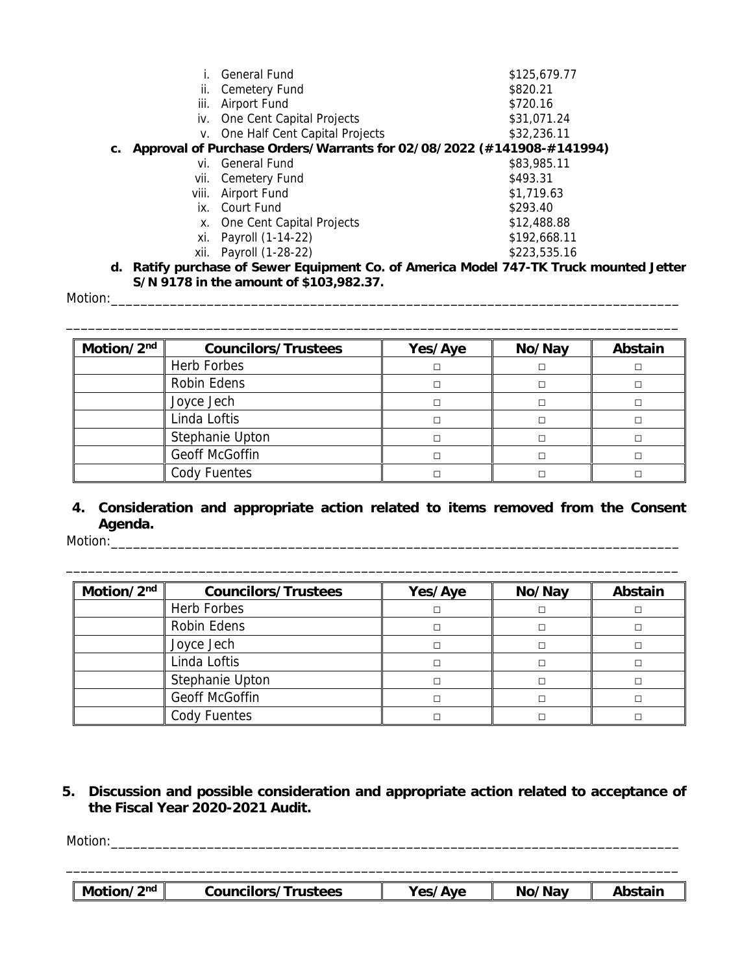|       | General Fund              | \$125,679.77                                                                                                                                                                                        |
|-------|---------------------------|-----------------------------------------------------------------------------------------------------------------------------------------------------------------------------------------------------|
| II.   | Cemetery Fund             | \$820.21                                                                                                                                                                                            |
| iii.  | Airport Fund              | \$720.16                                                                                                                                                                                            |
|       |                           | \$31,071.24                                                                                                                                                                                         |
|       |                           | \$32,236.11                                                                                                                                                                                         |
|       |                           |                                                                                                                                                                                                     |
| Vİ.   | General Fund              | \$83,985.11                                                                                                                                                                                         |
| Vİİ.  |                           | \$493.31                                                                                                                                                                                            |
| viii. | Airport Fund              | \$1,719.63                                                                                                                                                                                          |
|       |                           | \$293.40                                                                                                                                                                                            |
| Х.    | One Cent Capital Projects | \$12,488.88                                                                                                                                                                                         |
| Xİ.   | Payroll (1-14-22)         | \$192,668.11                                                                                                                                                                                        |
| xii.  |                           | \$223,535.16                                                                                                                                                                                        |
| С.    |                           | iv. One Cent Capital Projects<br>v. One Half Cent Capital Projects<br>Approval of Purchase Orders/Warrants for 02/08/2022 (#141908-#141994)<br>Cemetery Fund<br>ix. Court Fund<br>Payroll (1-28-22) |

**d. Ratify purchase of Sewer Equipment Co. of America Model 747-TK Truck mounted Jetter S/N 9178 in the amount of \$103,982.37.**

Motion:\_\_\_\_\_\_\_\_\_\_\_\_\_\_\_\_\_\_\_\_\_\_\_\_\_\_\_\_\_\_\_\_\_\_\_\_\_\_\_\_\_\_\_\_\_\_\_\_\_\_\_\_\_\_\_\_\_\_\_\_\_\_\_\_\_\_\_\_\_\_\_\_\_\_\_\_\_

| Motion/2nd | <b>Councilors/Trustees</b> | Yes/Aye | No/Nay | Abstain |
|------------|----------------------------|---------|--------|---------|
|            | Herb Forbes                | □       |        |         |
|            | Robin Edens                | □       |        |         |
|            | Joyce Jech                 | П       |        |         |
|            | Linda Loftis               | П       |        |         |
|            | Stephanie Upton            | П       |        |         |
|            | Geoff McGoffin             | П       |        |         |
|            | Cody Fuentes               |         |        |         |

# **4. Consideration and appropriate action related to items removed from the Consent Agenda.** Motion:\_\_\_\_\_\_\_\_\_\_\_\_\_\_\_\_\_\_\_\_\_\_\_\_\_\_\_\_\_\_\_\_\_\_\_\_\_\_\_\_\_\_\_\_\_\_\_\_\_\_\_\_\_\_\_\_\_\_\_\_\_\_\_\_\_\_\_\_\_\_\_\_\_\_\_\_\_

\_\_\_\_\_\_\_\_\_\_\_\_\_\_\_\_\_\_\_\_\_\_\_\_\_\_\_\_\_\_\_\_\_\_\_\_\_\_\_\_\_\_\_\_\_\_\_\_\_\_\_\_\_\_\_\_\_\_\_\_\_\_\_\_\_\_\_\_\_\_\_\_\_\_\_\_\_\_\_\_\_\_\_

| Motion/2nd | <b>Councilors/Trustees</b> | Yes/Aye | Abstain |  |
|------------|----------------------------|---------|---------|--|
|            | Herb Forbes                | □       |         |  |
|            | Robin Edens                | □       |         |  |
|            | Joyce Jech                 | □       |         |  |
|            | Linda Loftis               | П       |         |  |
|            | Stephanie Upton            | □       |         |  |
|            | Geoff McGoffin             | П       |         |  |
|            | Cody Fuentes               |         |         |  |

**5. Discussion and possible consideration and appropriate action related to acceptance of the Fiscal Year 2020-2021 Audit.**

Motion:\_\_\_\_\_\_\_\_\_\_\_\_\_\_\_\_\_\_\_\_\_\_\_\_\_\_\_\_\_\_\_\_\_\_\_\_\_\_\_\_\_\_\_\_\_\_\_\_\_\_\_\_\_\_\_\_\_\_\_\_\_\_\_\_\_\_\_\_\_\_\_\_\_\_\_\_\_

\_\_\_\_\_\_\_\_\_\_\_\_\_\_\_\_\_\_\_\_\_\_\_\_\_\_\_\_\_\_\_\_\_\_\_\_\_\_\_\_\_\_\_\_\_\_\_\_\_\_\_\_\_\_\_\_\_\_\_\_\_\_\_\_\_\_\_\_\_\_\_\_\_\_\_\_\_\_\_\_\_\_\_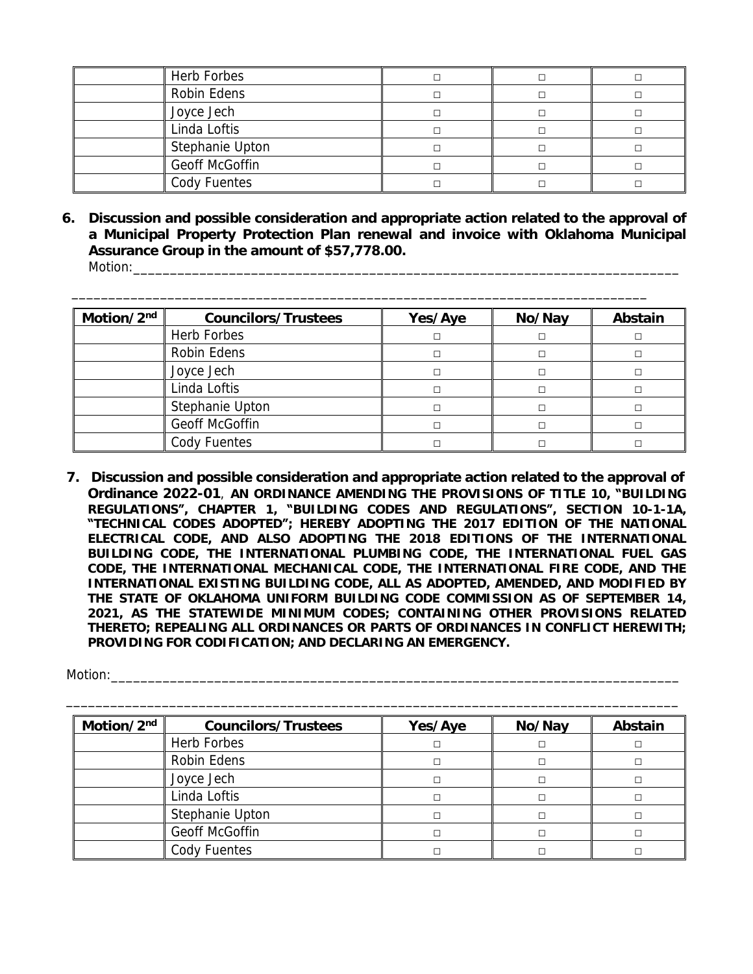| Herb Forbes     |  |  |
|-----------------|--|--|
| Robin Edens     |  |  |
| Joyce Jech      |  |  |
| Linda Loftis    |  |  |
| Stephanie Upton |  |  |
| Geoff McGoffin  |  |  |
| Cody Fuentes    |  |  |

**6. Discussion and possible consideration and appropriate action related to the approval of a Municipal Property Protection Plan renewal and invoice with Oklahoma Municipal Assurance Group in the amount of \$57,778.00.** Motion:

\_\_\_\_\_\_\_\_\_\_\_\_\_\_\_\_\_\_\_\_\_\_\_\_\_\_\_\_\_\_\_\_\_\_\_\_\_\_\_\_\_\_\_\_\_\_\_\_\_\_\_\_\_\_\_\_\_\_\_\_\_\_\_\_\_\_\_\_\_\_\_\_\_\_\_\_\_\_

| Motion/2nd | <b>Councilors/Trustees</b> | Yes/Aye | Abstain |  |
|------------|----------------------------|---------|---------|--|
|            | Herb Forbes                |         |         |  |
|            | Robin Edens                |         |         |  |
|            | Joyce Jech                 |         |         |  |
|            | Linda Loftis               |         |         |  |
|            | Stephanie Upton            |         |         |  |
|            | Geoff McGoffin             |         |         |  |
|            | Cody Fuentes               |         |         |  |

**7. Discussion and possible consideration and appropriate action related to the approval of Ordinance 2022-01**, **AN ORDINANCE AMENDING THE PROVISIONS OF TITLE 10, "BUILDING REGULATIONS", CHAPTER 1, "BUILDING CODES AND REGULATIONS", SECTION 10-1-1A, "TECHNICAL CODES ADOPTED"; HEREBY ADOPTING THE 2017 EDITION OF THE NATIONAL ELECTRICAL CODE, AND ALSO ADOPTING THE 2018 EDITIONS OF THE INTERNATIONAL BUILDING CODE, THE INTERNATIONAL PLUMBING CODE, THE INTERNATIONAL FUEL GAS CODE, THE INTERNATIONAL MECHANICAL CODE, THE INTERNATIONAL FIRE CODE, AND THE INTERNATIONAL EXISTING BUILDING CODE, ALL AS ADOPTED, AMENDED, AND MODIFIED BY THE STATE OF OKLAHOMA UNIFORM BUILDING CODE COMMISSION AS OF SEPTEMBER 14, 2021, AS THE STATEWIDE MINIMUM CODES; CONTAINING OTHER PROVISIONS RELATED THERETO; REPEALING ALL ORDINANCES OR PARTS OF ORDINANCES IN CONFLICT HEREWITH; PROVIDING FOR CODIFICATION; AND DECLARING AN EMERGENCY.**

| Motion/2nd | <b>Councilors/Trustees</b> | Yes/Aye | No/Nay | Abstain |
|------------|----------------------------|---------|--------|---------|
|            | Herb Forbes                | П       |        |         |
|            | Robin Edens                | П       |        |         |
|            | Joyce Jech                 | П       |        |         |
|            | Linda Loftis               | П       |        |         |
|            | Stephanie Upton            | П       |        |         |
|            | Geoff McGoffin             | П       |        |         |
|            | Cody Fuentes               |         |        |         |

Motion: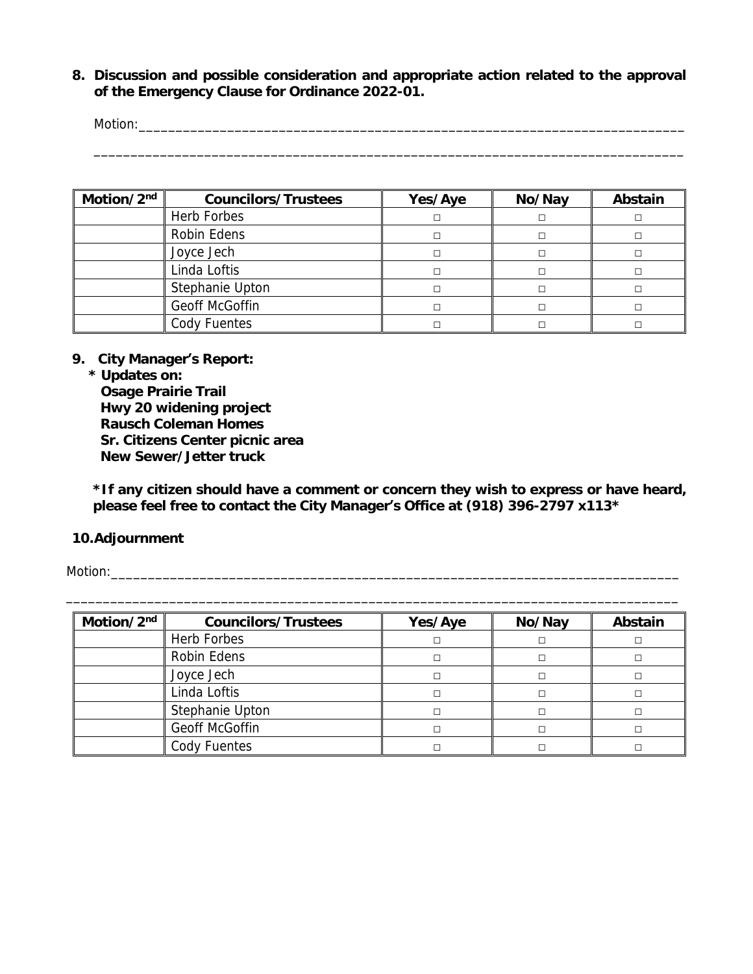**8. Discussion and possible consideration and appropriate action related to the approval of the Emergency Clause for Ordinance 2022-01.**

Motion:\_\_\_\_\_\_\_\_\_\_\_\_\_\_\_\_\_\_\_\_\_\_\_\_\_\_\_\_\_\_\_\_\_\_\_\_\_\_\_\_\_\_\_\_\_\_\_\_\_\_\_\_\_\_\_\_\_\_\_\_\_\_\_\_\_\_\_\_\_\_\_\_\_\_ \_\_\_\_\_\_\_\_\_\_\_\_\_\_\_\_\_\_\_\_\_\_\_\_\_\_\_\_\_\_\_\_\_\_\_\_\_\_\_\_\_\_\_\_\_\_\_\_\_\_\_\_\_\_\_\_\_\_\_\_\_\_\_\_\_\_\_\_\_\_\_\_\_\_\_\_\_\_\_\_

| Motion/2nd | <b>Councilors/Trustees</b> | Yes/Aye | No/Nay | Abstain |
|------------|----------------------------|---------|--------|---------|
|            | Herb Forbes                |         |        |         |
|            | Robin Edens                |         |        |         |
|            | Joyce Jech                 |         |        |         |
|            | Linda Loftis               |         |        |         |
|            | Stephanie Upton            |         |        |         |
|            | Geoff McGoffin             |         |        |         |
|            | Cody Fuentes               |         |        |         |

**9. City Manager's Report:**

**\* Updates on: Osage Prairie Trail Hwy 20 widening project Rausch Coleman Homes Sr. Citizens Center picnic area New Sewer/Jetter truck**

*\*If any citizen should have a comment or concern they wish to express or have heard, please feel free to contact the City Manager***'***s Office at (918) 396-2797 x113\**

### **10.Adjournment**

Motion:\_\_\_\_\_\_\_\_\_\_\_\_\_\_\_\_\_\_\_\_\_\_\_\_\_\_\_\_\_\_\_\_\_\_\_\_\_\_\_\_\_\_\_\_\_\_\_\_\_\_\_\_\_\_\_\_\_\_\_\_\_\_\_\_\_\_\_\_\_\_\_\_\_\_\_\_\_

| Motion/2 <sup>nd</sup> | <b>Councilors/Trustees</b> | Yes/Aye | No/Nay | Abstain |
|------------------------|----------------------------|---------|--------|---------|
|                        | Herb Forbes                | П       |        |         |
|                        | Robin Edens                |         |        |         |
|                        | Joyce Jech                 | П       |        |         |
|                        | Linda Loftis               | П       |        |         |
|                        | Stephanie Upton            | П       |        |         |
|                        | Geoff McGoffin             |         |        |         |
|                        | Cody Fuentes               |         |        |         |

\_\_\_\_\_\_\_\_\_\_\_\_\_\_\_\_\_\_\_\_\_\_\_\_\_\_\_\_\_\_\_\_\_\_\_\_\_\_\_\_\_\_\_\_\_\_\_\_\_\_\_\_\_\_\_\_\_\_\_\_\_\_\_\_\_\_\_\_\_\_\_\_\_\_\_\_\_\_\_\_\_\_\_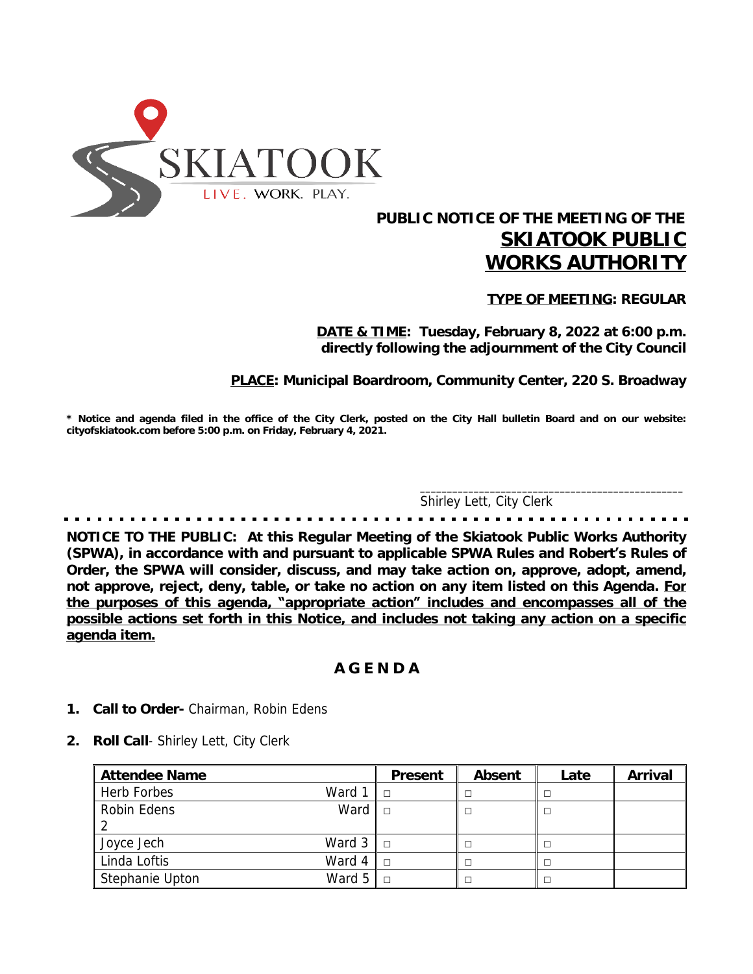

# **PUBLIC NOTICE OF THE MEETING OF THE** *SKIATOOK PUBLIC WORKS AUTHORITY*

**TYPE OF MEETING: REGULAR**

**DATE & TIME: Tuesday, February 8, 2022 at 6:00 p.m. directly following the adjournment of the City Council**

**PLACE: Municipal Boardroom, Community Center, 220 S. Broadway**

\* Notice and agenda filed in the office of the City Clerk, posted on the City Hall bulletin Board and on our website: **cityofskiatook.com before 5:00 p.m. on Friday, February 4, 2021.**

Shirley Lett, City Clerk

 $\overline{\phantom{a}}$  ,  $\overline{\phantom{a}}$  ,  $\overline{\phantom{a}}$  ,  $\overline{\phantom{a}}$  ,  $\overline{\phantom{a}}$  ,  $\overline{\phantom{a}}$  ,  $\overline{\phantom{a}}$  ,  $\overline{\phantom{a}}$  ,  $\overline{\phantom{a}}$  ,  $\overline{\phantom{a}}$  ,  $\overline{\phantom{a}}$  ,  $\overline{\phantom{a}}$  ,  $\overline{\phantom{a}}$  ,  $\overline{\phantom{a}}$  ,  $\overline{\phantom{a}}$  ,  $\overline{\phantom{a}}$ 

**NOTICE TO THE PUBLIC: At this Regular Meeting of the Skiatook Public Works Authority (SPWA), in accordance with and pursuant to applicable SPWA Rules and Robert's Rules of Order, the SPWA will consider, discuss, and may take action on, approve, adopt, amend, not approve, reject, deny, table, or take no action on any item listed on this Agenda. For the purposes of this agenda, "appropriate action" includes and encompasses all of the possible actions set forth in this Notice, and includes not taking any action on a specific agenda item.**

## **A G E N D A**

- **1. Call to Order-** Chairman, Robin Edens
- **2. Roll Call** Shirley Lett, City Clerk

| <b>Attendee Name</b>   |                           | Present | Absent | Late | Arrival |
|------------------------|---------------------------|---------|--------|------|---------|
| Herb Forbes            | Ward $1 \parallel$ $\Box$ |         |        |      |         |
| Robin Edens            | Ward                      |         |        |      |         |
|                        |                           |         |        |      |         |
| Joyce Jech             | Ward $3 \parallel$ $\Box$ |         |        |      |         |
| Linda Loftis<br>Ward 4 |                           |         |        |      |         |
| Stephanie Upton        | Ward $5 \parallel$ $\Box$ |         |        |      |         |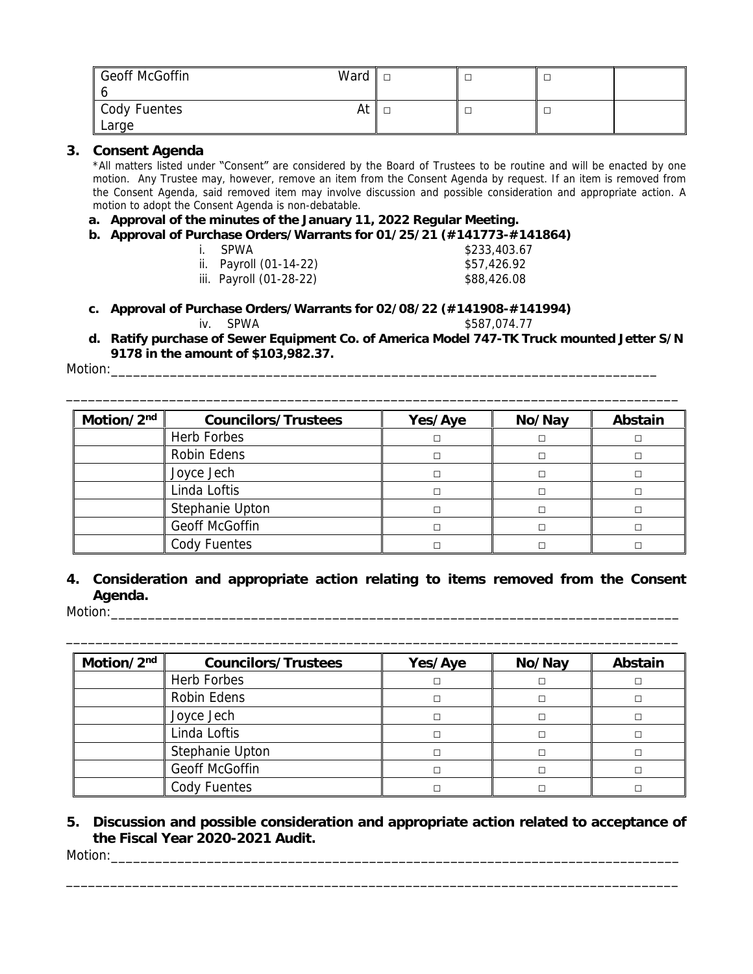| <b>Geoff McGoffin</b><br>Ward |  |  |
|-------------------------------|--|--|
| Cody Fuentes<br>At            |  |  |
| Large                         |  |  |

#### **3. Consent Agenda**

\*All matters listed under "Consent" are considered by the Board of Trustees to be routine and will be enacted by one motion. Any Trustee may, however, remove an item from the Consent Agenda by request. If an item is removed from the Consent Agenda, said removed item may involve discussion and possible consideration and appropriate action. A motion to adopt the Consent Agenda is non-debatable.

### **a. Approval of the minutes of the January 11, 2022 Regular Meeting.**

- **b. Approval of Purchase Orders/Warrants for 01/25/21 (#141773-#141864)**
	- i. SPWA \$233,403.67
	- ii. Payroll (01-14-22) \$57,426.92
	- iii. Payroll (01-28-22) \$88,426.08

- **c. Approval of Purchase Orders/Warrants for 02/08/22 (#141908-#141994)** iv. SPWA \$587,074.77
- **d. Ratify purchase of Sewer Equipment Co. of America Model 747-TK Truck mounted Jetter S/N 9178 in the amount of \$103,982.37.**

\_\_\_\_\_\_\_\_\_\_\_\_\_\_\_\_\_\_\_\_\_\_\_\_\_\_\_\_\_\_\_\_\_\_\_\_\_\_\_\_\_\_\_\_\_\_\_\_\_\_\_\_\_\_\_\_\_\_\_\_\_\_\_\_\_\_\_\_\_\_\_\_\_\_\_\_\_\_\_\_\_\_\_

Motion:

| Motion/2nd | <b>Councilors/Trustees</b> | Yes/Aye | No/Nay | Abstain |
|------------|----------------------------|---------|--------|---------|
|            | Herb Forbes                |         |        |         |
|            | Robin Edens                |         |        |         |
|            | Joyce Jech                 |         |        |         |
|            | Linda Loftis               |         |        |         |
|            | Stephanie Upton            |         |        |         |
|            | Geoff McGoffin             |         |        |         |
|            | Cody Fuentes               |         |        |         |

**4. Consideration and appropriate action relating to items removed from the Consent Agenda.**

\_\_\_\_\_\_\_\_\_\_\_\_\_\_\_\_\_\_\_\_\_\_\_\_\_\_\_\_\_\_\_\_\_\_\_\_\_\_\_\_\_\_\_\_\_\_\_\_\_\_\_\_\_\_\_\_\_\_\_\_\_\_\_\_\_\_\_\_\_\_\_\_\_\_\_\_\_\_\_\_\_\_\_

Motion:\_\_\_\_\_\_\_\_\_\_\_\_\_\_\_\_\_\_\_\_\_\_\_\_\_\_\_\_\_\_\_\_\_\_\_\_\_\_\_\_\_\_\_\_\_\_\_\_\_\_\_\_\_\_\_\_\_\_\_\_\_\_\_\_\_\_\_\_\_\_\_\_\_\_\_\_\_

| Motion/2nd | <b>Councilors/Trustees</b> | Yes/Aye | No/Nay | Abstain |
|------------|----------------------------|---------|--------|---------|
|            | Herb Forbes                |         |        |         |
|            | Robin Edens                |         |        |         |
|            | Joyce Jech                 | П       |        |         |
|            | Linda Loftis               | П       |        |         |
|            | Stephanie Upton            | П       |        |         |
|            | Geoff McGoffin             |         |        |         |
|            | Cody Fuentes               |         |        |         |

## **5. Discussion and possible consideration and appropriate action related to acceptance of the Fiscal Year 2020-2021 Audit.**

\_\_\_\_\_\_\_\_\_\_\_\_\_\_\_\_\_\_\_\_\_\_\_\_\_\_\_\_\_\_\_\_\_\_\_\_\_\_\_\_\_\_\_\_\_\_\_\_\_\_\_\_\_\_\_\_\_\_\_\_\_\_\_\_\_\_\_\_\_\_\_\_\_\_\_\_\_\_\_\_\_\_\_

Motion:\_\_\_\_\_\_\_\_\_\_\_\_\_\_\_\_\_\_\_\_\_\_\_\_\_\_\_\_\_\_\_\_\_\_\_\_\_\_\_\_\_\_\_\_\_\_\_\_\_\_\_\_\_\_\_\_\_\_\_\_\_\_\_\_\_\_\_\_\_\_\_\_\_\_\_\_\_